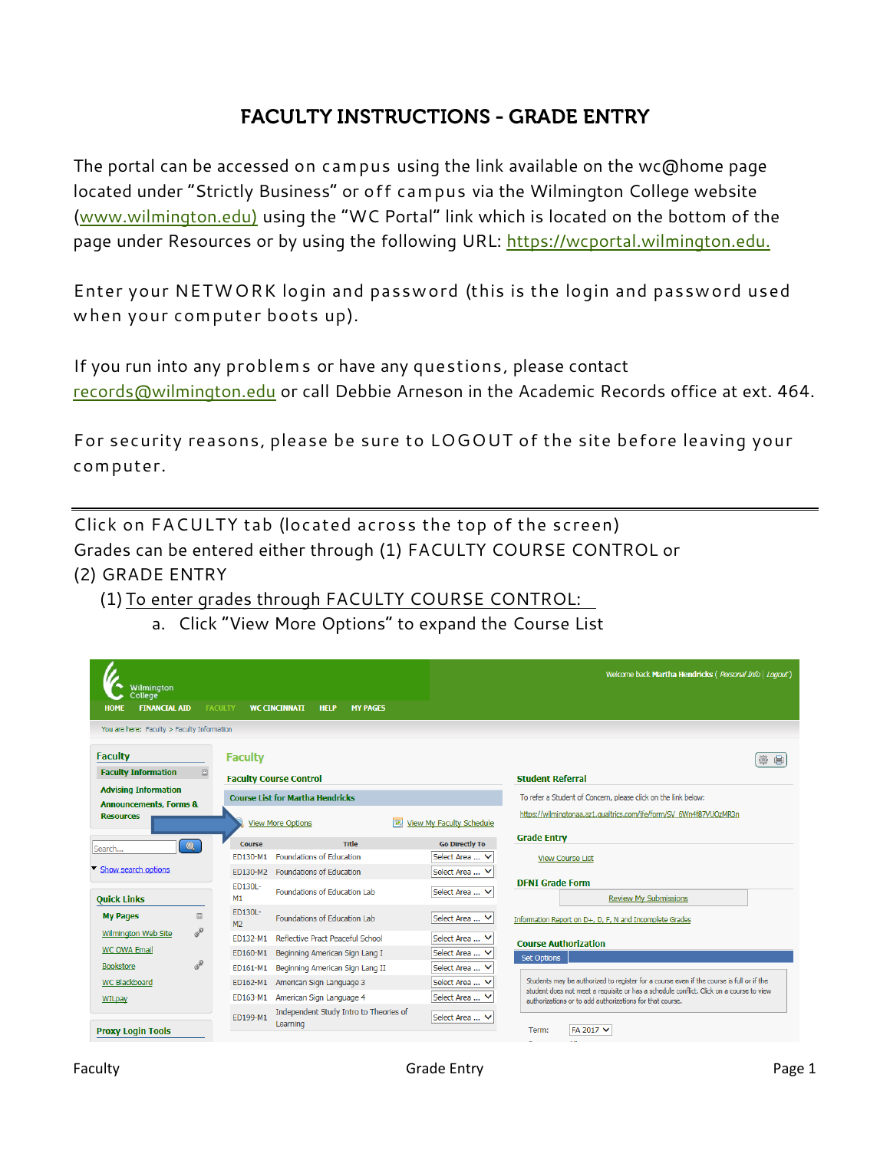## **FACULTY INSTRUCTIONS - GRADE ENTRY**

The portal can be accessed on campus using the link available on the wc@home page located under "Strictly Business" or off campus via the Wilmington College website [\(www.wilmington.edu\)](http://www.wilmington.edu/) using the "WC Portal" link which is located on the bottom of the page under Resources or by using the following URL: [https://wcportal.wilmington.edu.](https://wcportal.wilmington.edu/)

Enter your NETWORK login and password (this is the login and password used when your computer boots up).

If you run into any problems or have any questions, please contact [records@wilmington.edu](mailto:records@wilmington.edu) or call Debbie Arneson in the Academic Records office at ext. 464.

For security reasons, please be sure to LOGOUT of the site before leaving your computer.

Click on FACULTY tab (located across the top of the screen) Grades can be entered either through (1) FACULTY COURSE CONTROL or (2) GRADE ENTRY

(1) To enter grades through FACULTY COURSE CONTROL:

a. Click "View More Options" to expand the Course List

| Wilmington<br>College <sup>®</sup><br><b>FINANCIAL AID</b><br><b>HOME</b> |           | <b>FACULTY</b>            | <b>WC CINCINNATI</b><br><b>HELP</b><br><b>MY PAGES</b> |                               | Welcome back Martha Hendricks (Personal Info   Logout)                                                                                                                              |  |  |
|---------------------------------------------------------------------------|-----------|---------------------------|--------------------------------------------------------|-------------------------------|-------------------------------------------------------------------------------------------------------------------------------------------------------------------------------------|--|--|
| You are here: Faculty > Faculty Information                               |           |                           |                                                        |                               |                                                                                                                                                                                     |  |  |
| <b>Faculty</b>                                                            |           | <b>Faculty</b>            |                                                        |                               |                                                                                                                                                                                     |  |  |
| <b>Faculty Information</b>                                                | $\Box$    |                           | <b>Faculty Course Control</b>                          |                               | <b>Student Referral</b>                                                                                                                                                             |  |  |
| <b>Advising Information</b><br><b>Announcements, Forms &amp;</b>          |           |                           | <b>Course List for Martha Hendricks</b>                |                               | To refer a Student of Concern, please click on the link below:                                                                                                                      |  |  |
| <b>Resources</b>                                                          |           |                           | <b>View More Options</b>                               | View My Faculty Schedule<br>匣 | https://wilmingtonaa.az1.gualtrics.com/jfe/form/SV 6Wn4f87VUOzMR3n                                                                                                                  |  |  |
| Search                                                                    | $\bullet$ | <b>Course</b>             | Title                                                  | <b>Go Directly To</b>         | <b>Grade Entry</b>                                                                                                                                                                  |  |  |
|                                                                           |           | FD130-M1                  | Foundations of Education                               | Select Area  V                | <b>View Course List</b>                                                                                                                                                             |  |  |
| Show search options                                                       |           | ED130-M2                  | Foundations of Education                               | Select Area  V                |                                                                                                                                                                                     |  |  |
| <b>Quick Links</b>                                                        |           | ED130L-<br>M1             | Foundations of Education Lab                           | Select Area  V                | <b>DENI Grade Form</b><br><b>Review My Submissions</b>                                                                                                                              |  |  |
| <b>My Pages</b>                                                           | 圖         | ED130L-<br>M <sub>2</sub> | Foundations of Education Lab                           | Select Area  V                | Information Report on D+, D, F, N and Incomplete Grades                                                                                                                             |  |  |
| Wilmington Web Site                                                       | P         | FD132-M1                  | Reflective Pract Peaceful School                       | Select Area  V                | <b>Course Authorization</b>                                                                                                                                                         |  |  |
| <b>WC OWA Email</b>                                                       |           | ED160-M1                  | Beginning American Sign Lang I                         | Select Area  V                | <b>Set Options</b>                                                                                                                                                                  |  |  |
| <b>Bookstore</b>                                                          | P         | ED161-M1                  | Beginning American Sign Lang II                        | Select Area  Y                |                                                                                                                                                                                     |  |  |
| WC Blackboard                                                             |           | ED162-M1                  | American Sign Language 3                               | Select Area  V                | Students may be authorized to register for a course even if the course is full or if the<br>student does not meet a requisite or has a schedule conflict. Click on a course to view |  |  |
| WILpay                                                                    |           | ED163-M1                  | American Sign Language 4                               | Select Area  ∨                | authorizations or to add authorizations for that course.                                                                                                                            |  |  |
| <b>Proxy Login Tools</b>                                                  |           | ED199-M1                  | Independent Study Intro to Theories of<br>Learning     | Select Area  V                | FA 2017 V<br>Term:                                                                                                                                                                  |  |  |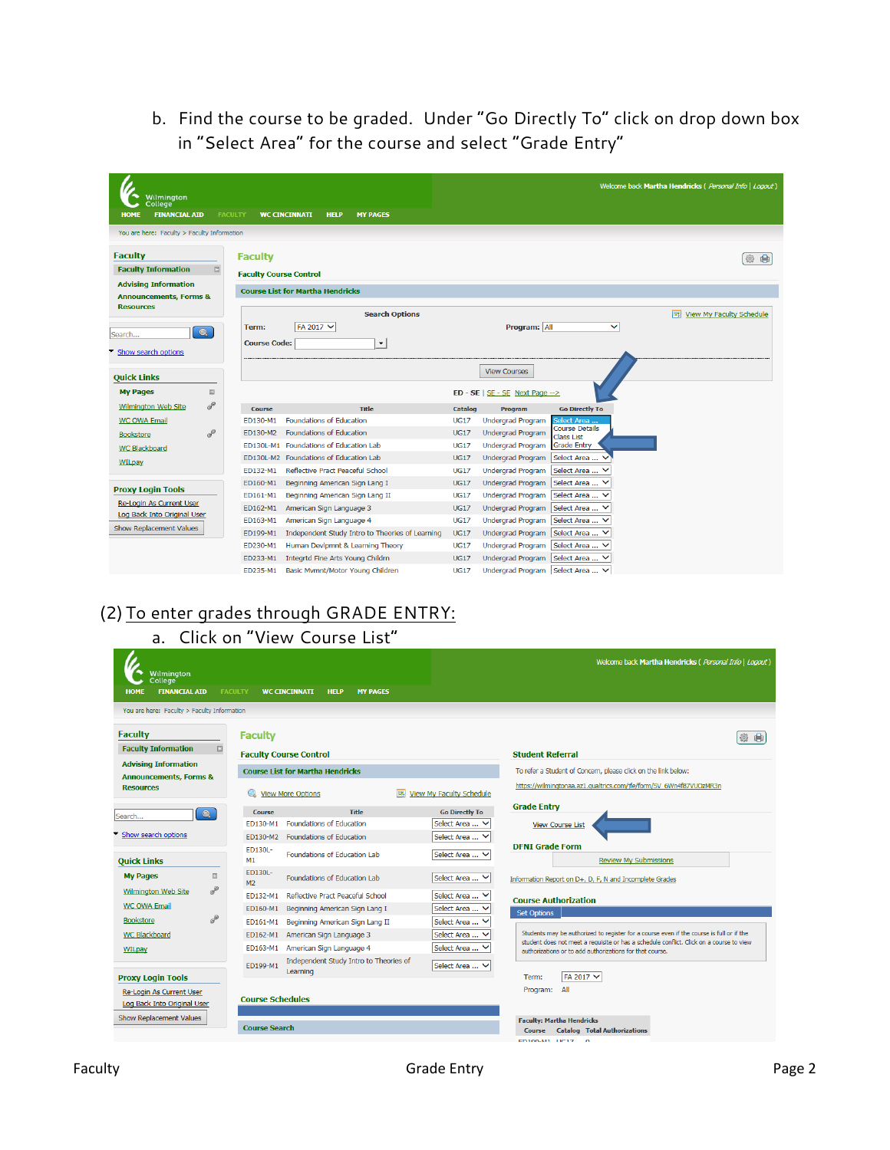b. Find the course to be graded. Under "Go Directly To" click on drop down box in "Select Area" for the course and select "Grade Entry"

| Wilmington<br>College<br><b>FINANCIAL AID</b><br><b>HOME</b>                                                                                                    |                | <b>FACULTY</b>                                  | <b>WC CINCINNATI</b><br><b>HELP</b><br><b>MY PAGES</b>     |             |                                               |                                        | Welcome back Martha Hendricks ( Personal Info   Logout) |
|-----------------------------------------------------------------------------------------------------------------------------------------------------------------|----------------|-------------------------------------------------|------------------------------------------------------------|-------------|-----------------------------------------------|----------------------------------------|---------------------------------------------------------|
| You are here: Faculty > Faculty Information<br><b>Faculty</b><br><b>Faculty Information</b><br><b>Advising Information</b><br><b>Announcements, Forms &amp;</b> | $\boxed{\Xi}$  | <b>Faculty</b><br><b>Faculty Course Control</b> | <b>Course List for Martha Hendricks</b>                    |             |                                               |                                        | ●<br>變                                                  |
| <b>Resources</b><br>Search<br>Show search options                                                                                                               | $\bullet$      | Term:<br><b>Course Code:</b>                    | <b>Search Options</b><br>FA 2017 V<br>$\blacktriangledown$ |             | Program: All                                  | $\checkmark$                           |                                                         |
| <b>Quick Links</b>                                                                                                                                              |                |                                                 |                                                            |             | <b>View Courses</b>                           |                                        |                                                         |
| <b>My Pages</b>                                                                                                                                                 | $\boxed{\Box}$ |                                                 |                                                            |             | $ED - SE$   $SE - SE$ Next Page $\rightarrow$ |                                        |                                                         |
| <b>Wilmington Web Site</b>                                                                                                                                      | P              | <b>Course</b>                                   | <b>Title</b>                                               | Catalog     | Program                                       | <b>Go Directly To</b>                  |                                                         |
| <b>WC OWA Email</b>                                                                                                                                             |                | ED130-M1                                        | <b>Foundations of Education</b>                            | <b>UG17</b> | <b>Undergrad Program</b>                      | Select Area .<br><b>Course Details</b> |                                                         |
| <b>Bookstore</b>                                                                                                                                                | P              | ED130-M2                                        | <b>Foundations of Education</b>                            | <b>UG17</b> | Undergrad Program                             | <b>Class List</b>                      |                                                         |
| <b>WC Blackboard</b>                                                                                                                                            |                |                                                 | ED130L-M1 Foundations of Education Lab                     | <b>UG17</b> | <b>Undergrad Program</b>                      | <b>Grade Entry</b>                     |                                                         |
| <b>WILpay</b>                                                                                                                                                   |                |                                                 | ED130L-M2 Foundations of Education Lab                     | <b>UG17</b> | <b>Undergrad Program</b>                      | Select Area                            |                                                         |
|                                                                                                                                                                 |                | ED132-M1                                        | Reflective Pract Peaceful School                           | <b>UG17</b> | <b>Undergrad Program</b>                      | Select Area  V                         |                                                         |
| <b>Proxy Login Tools</b>                                                                                                                                        |                | ED160-M1                                        | Beginning American Sign Lang I                             | <b>UG17</b> | <b>Undergrad Program</b>                      | Select Area                            |                                                         |
| <b>Re-Login As Current User</b>                                                                                                                                 |                | ED161-M1                                        | Beginning American Sign Lang II                            | <b>UG17</b> | <b>Undergrad Program</b>                      | Select Area  V                         |                                                         |
| Log Back Into Original User<br>Show Replacement Values                                                                                                          |                | ED162-M1                                        | American Sign Language 3                                   | <b>UG17</b> | <b>Undergrad Program</b>                      | Select Area  V                         |                                                         |
|                                                                                                                                                                 |                | ED163-M1                                        | American Sign Language 4                                   | <b>UG17</b> | <b>Undergrad Program</b>                      | Select Area  V                         |                                                         |
|                                                                                                                                                                 |                | ED199-M1                                        | Independent Study Intro to Theories of Learning            | <b>UG17</b> | <b>Undergrad Program</b>                      | Select Area  V                         |                                                         |
|                                                                                                                                                                 |                | ED230-M1                                        | Human Devlpmnt & Learning Theory                           | <b>UG17</b> | <b>Undergrad Program</b>                      | Select Area  V                         |                                                         |
|                                                                                                                                                                 |                | ED233-M1                                        | Integrtd Fine Arts Young Childrn                           | <b>UG17</b> | <b>Undergrad Program</b>                      | Select Area  V                         |                                                         |
|                                                                                                                                                                 |                | ED235-M1                                        | Basic Mymnt/Motor Young Children                           | <b>UG17</b> | Undergrad Program   Select Area  V            |                                        |                                                         |

# (2) To enter grades through GRADE ENTRY:

### a. Click on "View Course List"

| Wilmington<br>College <sup>-</sup><br><b>FINANCIAL AID</b><br><b>HOME</b> | <b>FACULTY</b><br><b>WC CINCINNATI</b><br><b>HELP</b><br><b>MY PAGES</b> | Welcome back Martha Hendricks ( Personal Info   Logout)                                                                                                                                            |  |  |  |  |  |  |  |
|---------------------------------------------------------------------------|--------------------------------------------------------------------------|----------------------------------------------------------------------------------------------------------------------------------------------------------------------------------------------------|--|--|--|--|--|--|--|
| You are here: Faculty > Faculty Information                               |                                                                          |                                                                                                                                                                                                    |  |  |  |  |  |  |  |
| <b>Faculty</b>                                                            | <b>Faculty</b>                                                           |                                                                                                                                                                                                    |  |  |  |  |  |  |  |
| <b>Faculty Information</b><br>田                                           | <b>Faculty Course Control</b>                                            | <b>Student Referral</b>                                                                                                                                                                            |  |  |  |  |  |  |  |
| <b>Advising Information</b>                                               | <b>Course List for Martha Hendricks</b>                                  | To refer a Student of Concern, please click on the link below:                                                                                                                                     |  |  |  |  |  |  |  |
| <b>Announcements, Forms &amp;</b><br><b>Resources</b>                     | <b>View More Options</b><br><b>ISSUE</b>                                 | https://wilmingtonaa.az1.gualtrics.com/ife/form/SV 6Wn4f87VUOzMR3n<br><b>View My Faculty Schedule</b>                                                                                              |  |  |  |  |  |  |  |
| $\bullet$                                                                 | <b>Title</b><br><b>Course</b>                                            | <b>Grade Entry</b><br><b>Go Directly To</b>                                                                                                                                                        |  |  |  |  |  |  |  |
| Search                                                                    | <b>Foundations of Education</b><br>ED130-M1                              | Select Area  ∨<br><b>View Course List</b>                                                                                                                                                          |  |  |  |  |  |  |  |
| Show search options                                                       | ED130-M2 Foundations of Education                                        | Select Area  V                                                                                                                                                                                     |  |  |  |  |  |  |  |
| <b>Quick Links</b>                                                        | <b>ED130L-</b><br>Foundations of Education Lab<br>M1                     | <b>DFNI Grade Form</b><br>Select Area  V<br><b>Review My Submissions</b>                                                                                                                           |  |  |  |  |  |  |  |
| 田<br><b>My Pages</b>                                                      | <b>ED130L-</b><br>Foundations of Education Lab<br>M <sub>2</sub>         | Select Area  V<br>Information Report on D+, D, F, N and Incomplete Grades                                                                                                                          |  |  |  |  |  |  |  |
| S<br>Wilmington Web Site                                                  | Reflective Pract Peaceful School<br>ED132-M1                             | Select Area  V<br><b>Course Authorization</b>                                                                                                                                                      |  |  |  |  |  |  |  |
| <b>WC OWA Email</b>                                                       | ED160-M1<br>Beginning American Sign Lang I                               | Select Area  V<br><b>Set Options</b>                                                                                                                                                               |  |  |  |  |  |  |  |
| $\sigma^2$<br><b>Bookstore</b>                                            | Beginning American Sign Lang II<br>ED161-M1                              | Select Area                                                                                                                                                                                        |  |  |  |  |  |  |  |
| WC Blackboard                                                             | American Sign Language 3<br>ED162-M1                                     | Students may be authorized to register for a course even if the course is full or if the<br>Select Area<br>student does not meet a requisite or has a schedule conflict. Click on a course to view |  |  |  |  |  |  |  |
| WILpay                                                                    | American Sign Language 4<br>ED163-M1                                     | Select Area  ∨<br>authorizations or to add authorizations for that course.                                                                                                                         |  |  |  |  |  |  |  |
|                                                                           | Independent Study Intro to Theories of<br>ED199-M1<br>Learning           | Select Area  V                                                                                                                                                                                     |  |  |  |  |  |  |  |
| <b>Proxy Login Tools</b>                                                  |                                                                          | FA 2017 V<br>Term:                                                                                                                                                                                 |  |  |  |  |  |  |  |
| Re-Login As Current User<br>Log Back Into Original User                   | <b>Course Schedules</b>                                                  | Program: All                                                                                                                                                                                       |  |  |  |  |  |  |  |
| Show Replacement Values                                                   | <b>Course Search</b>                                                     | <b>Faculty: Martha Hendricks</b><br><b>Catalog Total Authorizations</b><br><b>Course</b>                                                                                                           |  |  |  |  |  |  |  |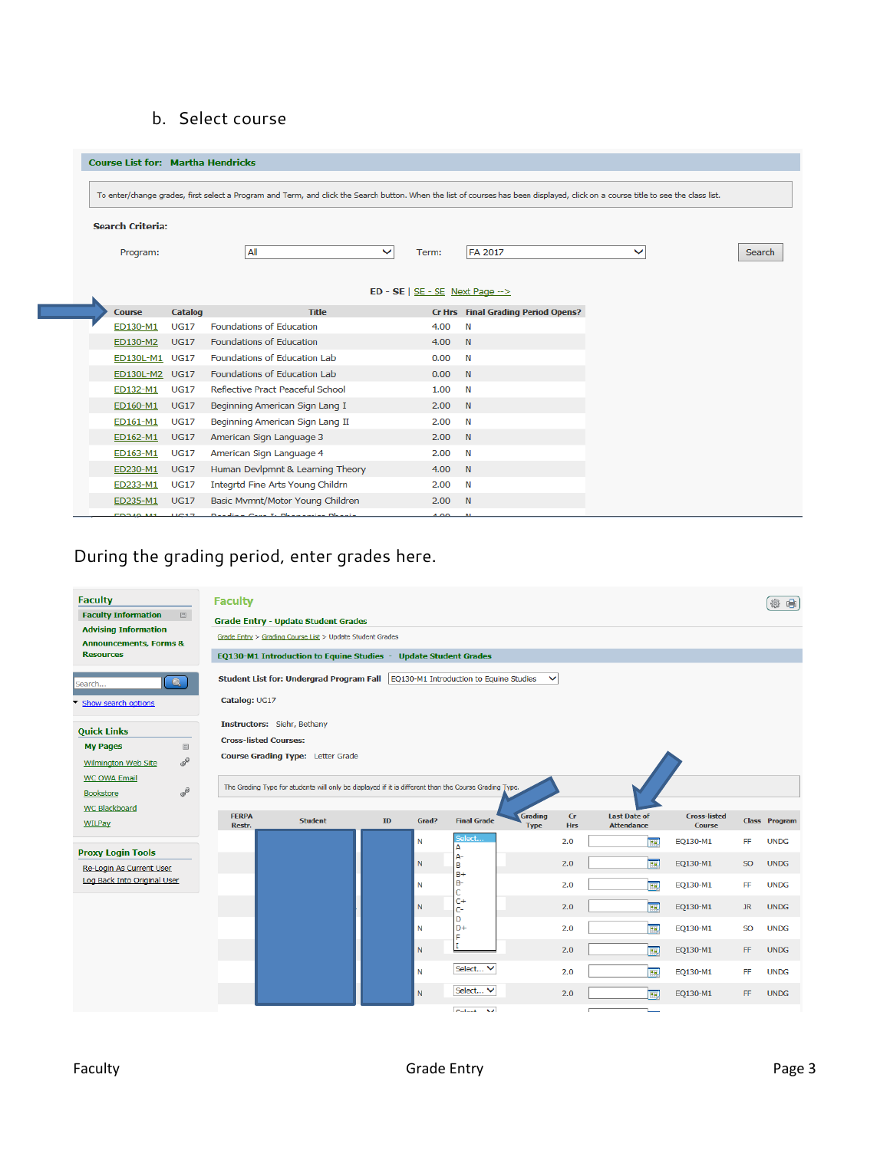#### b. Select course

| <b>Course List for: Martha Hendricks</b>                                                                                                                                          |                |                                         |              |          |                                           |              |        |
|-----------------------------------------------------------------------------------------------------------------------------------------------------------------------------------|----------------|-----------------------------------------|--------------|----------|-------------------------------------------|--------------|--------|
|                                                                                                                                                                                   |                |                                         |              |          |                                           |              |        |
| To enter/change grades, first select a Program and Term, and click the Search button. When the list of courses has been displayed, click on a course title to see the class list. |                |                                         |              |          |                                           |              |        |
| <b>Search Criteria:</b>                                                                                                                                                           |                |                                         |              |          |                                           |              |        |
| Program:                                                                                                                                                                          |                | All                                     | $\checkmark$ | Term:    | <b>FA 2017</b>                            | $\checkmark$ | Search |
|                                                                                                                                                                                   |                |                                         |              |          |                                           |              |        |
| $ED - SE$   $SE - SE$ Next Page -->                                                                                                                                               |                |                                         |              |          |                                           |              |        |
| <b>Course</b>                                                                                                                                                                     | <b>Catalog</b> | <b>Title</b>                            |              |          | <b>Cr Hrs</b> Final Grading Period Opens? |              |        |
| ED130-M1                                                                                                                                                                          | <b>UG17</b>    | Foundations of Education                |              | 4.00     | N                                         |              |        |
| ED130-M2                                                                                                                                                                          | <b>UG17</b>    | Foundations of Education                |              | 4.00     | N                                         |              |        |
| ED130L-M1                                                                                                                                                                         | <b>UG17</b>    | Foundations of Education Lab            |              | 0.00     | $\mathbb N$                               |              |        |
| ED130L-M2                                                                                                                                                                         | <b>UG17</b>    | Foundations of Education Lab            |              | 0.00     | N                                         |              |        |
| ED132-M1                                                                                                                                                                          | <b>UG17</b>    | Reflective Pract Peaceful School        |              | 1.00     | $\mathbb N$                               |              |        |
| ED160-M1                                                                                                                                                                          | <b>UG17</b>    | Beginning American Sign Lang I          |              | 2.00     | N                                         |              |        |
| ED161-M1                                                                                                                                                                          | <b>UG17</b>    | Beginning American Sign Lang II         |              | 2.00     | N                                         |              |        |
| ED162-M1                                                                                                                                                                          | <b>UG17</b>    | American Sign Language 3                |              | 2.00     | N                                         |              |        |
| ED163-M1                                                                                                                                                                          | <b>UG17</b>    | American Sign Language 4                |              | 2.00     | $\mathbb N$                               |              |        |
| ED230-M1                                                                                                                                                                          | <b>UG17</b>    | Human Devlpmnt & Learning Theory        |              | 4.00     | N                                         |              |        |
| ED233-M1                                                                                                                                                                          | <b>UG17</b>    | Integrtd Fine Arts Young Childrn        |              | 2.00     | N                                         |              |        |
| ED235-M1                                                                                                                                                                          | <b>UG17</b>    | Basic Mvmnt/Motor Young Children        |              | 2.00 N   |                                           |              |        |
| <b>EDO40 144</b>                                                                                                                                                                  | 11017          | Develope Cana T. Disamposition Disarria |              | $00 - 1$ |                                           |              |        |

### During the grading period, enter grades here.